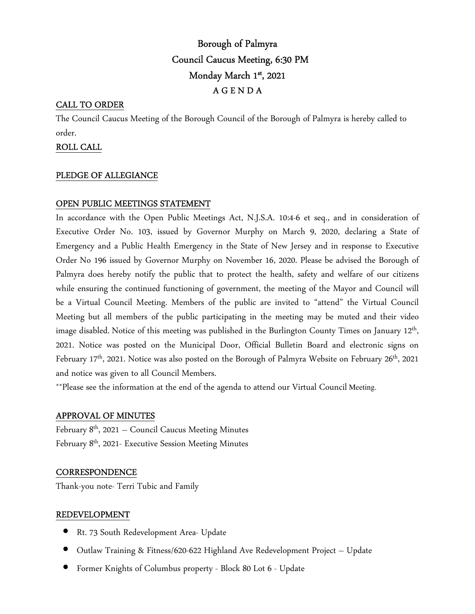# Borough of Palmyra Council Caucus Meeting, 6:30 PM Monday March 1st, 2021 A G E N D A

## CALL TO ORDER

The Council Caucus Meeting of the Borough Council of the Borough of Palmyra is hereby called to order.

## ROLL CALL

#### PLEDGE OF ALLEGIANCE

## OPEN PUBLIC MEETINGS STATEMENT

In accordance with the Open Public Meetings Act, N.J.S.A. 10:4-6 et seq., and in consideration of Executive Order No. 103, issued by Governor Murphy on March 9, 2020, declaring a State of Emergency and a Public Health Emergency in the State of New Jersey and in response to Executive Order No 196 issued by Governor Murphy on November 16, 2020. Please be advised the Borough of Palmyra does hereby notify the public that to protect the health, safety and welfare of our citizens while ensuring the continued functioning of government, the meeting of the Mayor and Council will be a Virtual Council Meeting. Members of the public are invited to "attend" the Virtual Council Meeting but all members of the public participating in the meeting may be muted and their video image disabled. Notice of this meeting was published in the Burlington County Times on January 12<sup>th</sup>, 2021. Notice was posted on the Municipal Door, Official Bulletin Board and electronic signs on February  $17<sup>th</sup>$ , 2021. Notice was also posted on the Borough of Palmyra Website on February 26<sup>th</sup>, 2021 and notice was given to all Council Members.

\*\*Please see the information at the end of the agenda to attend our Virtual Council Meeting.

#### APPROVAL OF MINUTES

February  $8<sup>th</sup>$ , 2021 – Council Caucus Meeting Minutes February 8th, 2021- Executive Session Meeting Minutes

#### **CORRESPONDENCE**

Thank-you note- Terri Tubic and Family

## REDEVELOPMENT

- Rt. 73 South Redevelopment Area- Update
- Outlaw Training & Fitness/620-622 Highland Ave Redevelopment Project Update
- Former Knights of Columbus property Block 80 Lot 6 Update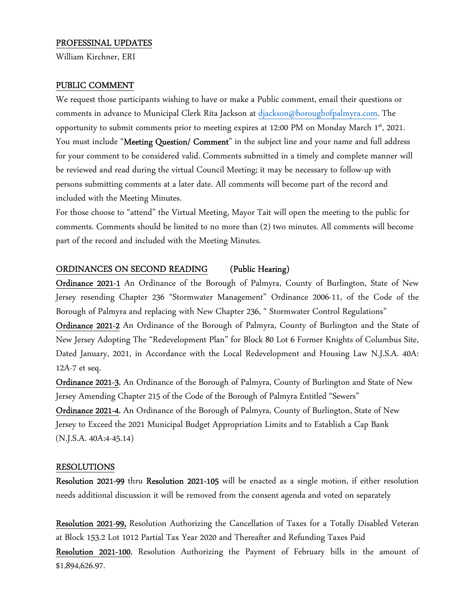#### PROFESSINAL UPDATES

William Kirchner, ERI

#### PUBLIC COMMENT

We request those participants wishing to have or make a Public comment, email their questions or comments in advance to Municipal Clerk Rita Jackson at djackson@boroughofpalmyra.com. The opportunity to submit comments prior to meeting expires at 12:00 PM on Monday March 1st, 2021. You must include "Meeting Question/ Comment" in the subject line and your name and full address for your comment to be considered valid. Comments submitted in a timely and complete manner will be reviewed and read during the virtual Council Meeting; it may be necessary to follow-up with persons submitting comments at a later date. All comments will become part of the record and included with the Meeting Minutes.

For those choose to "attend" the Virtual Meeting, Mayor Tait will open the meeting to the public for comments. Comments should be limited to no more than (2) two minutes. All comments will become part of the record and included with the Meeting Minutes.

#### ORDINANCES ON SECOND READING (Public Hearing)

Ordinance 2021-1 An Ordinance of the Borough of Palmyra, County of Burlington, State of New Jersey resending Chapter 236 "Stormwater Management" Ordinance 2006-11, of the Code of the Borough of Palmyra and replacing with New Chapter 236, " Stormwater Control Regulations"

Ordinance 2021-2 An Ordinance of the Borough of Palmyra, County of Burlington and the State of New Jersey Adopting The "Redevelopment Plan" for Block 80 Lot 6 Former Knights of Columbus Site, Dated January, 2021, in Accordance with the Local Redevelopment and Housing Law N.J.S.A. 40A: 12A-7 et seq.

Ordinance 2021-3, An Ordinance of the Borough of Palmyra, County of Burlington and State of New Jersey Amending Chapter 215 of the Code of the Borough of Palmyra Entitled "Sewers"

Ordinance 2021-4, An Ordinance of the Borough of Palmyra, County of Burlington, State of New Jersey to Exceed the 2021 Municipal Budget Appropriation Limits and to Establish a Cap Bank (N.J.S.A. 40A:4-45.14)

#### RESOLUTIONS

Resolution 2021-99 thru Resolution 2021-105 will be enacted as a single motion, if either resolution needs additional discussion it will be removed from the consent agenda and voted on separately

Resolution 2021-99, Resolution Authorizing the Cancellation of Taxes for a Totally Disabled Veteran at Block 153.2 Lot 1012 Partial Tax Year 2020 and Thereafter and Refunding Taxes Paid

Resolution 2021-100, Resolution Authorizing the Payment of February bills in the amount of \$1,894,626.97.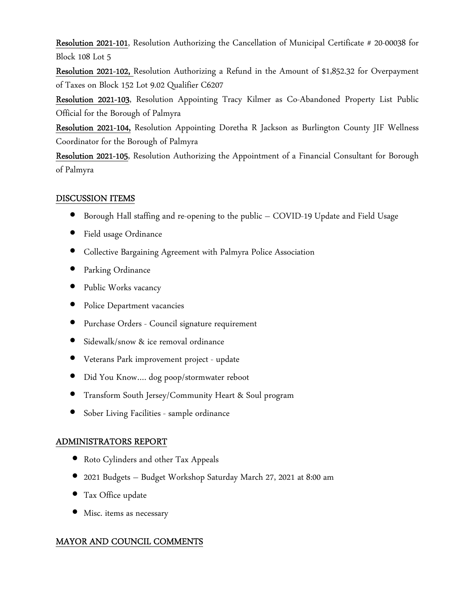Resolution 2021-101, Resolution Authorizing the Cancellation of Municipal Certificate # 20-00038 for Block 108 Lot 5

Resolution 2021-102, Resolution Authorizing a Refund in the Amount of \$1,852.32 for Overpayment of Taxes on Block 152 Lot 9.02 Qualifier C6207

Resolution 2021-103, Resolution Appointing Tracy Kilmer as Co-Abandoned Property List Public Official for the Borough of Palmyra

Resolution 2021-104, Resolution Appointing Doretha R Jackson as Burlington County JIF Wellness Coordinator for the Borough of Palmyra

Resolution 2021-105, Resolution Authorizing the Appointment of a Financial Consultant for Borough of Palmyra

## DISCUSSION ITEMS

- Borough Hall staffing and re-opening to the public COVID-19 Update and Field Usage
- Field usage Ordinance
- Collective Bargaining Agreement with Palmyra Police Association
- Parking Ordinance
- Public Works vacancy
- Police Department vacancies
- Purchase Orders Council signature requirement
- Sidewalk/snow & ice removal ordinance
- Veterans Park improvement project update
- Did You Know.... dog poop/stormwater reboot
- Transform South Jersey/Community Heart & Soul program
- Sober Living Facilities sample ordinance

## ADMINISTRATORS REPORT

- Roto Cylinders and other Tax Appeals
- 2021 Budgets Budget Workshop Saturday March 27, 2021 at 8:00 am
- Tax Office update
- Misc. items as necessary

## MAYOR AND COUNCIL COMMENTS